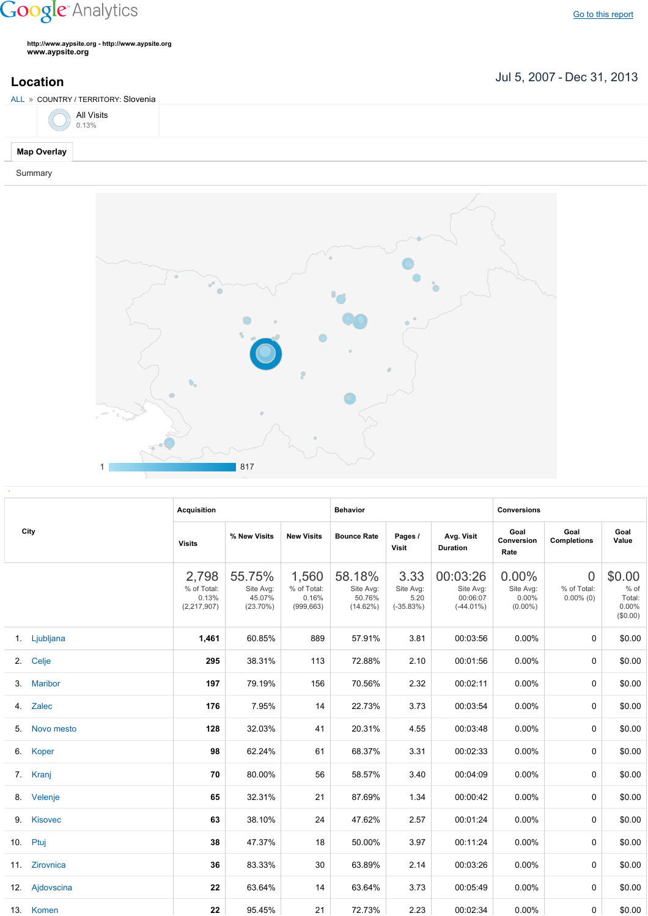## **Google** Analytics

**http://www.aypsite.org http://www.aypsite.org www.aypsite.org**

**Location** Jul 5, 2007 - Dec 31, 2013

| ALL » COUNTRY / TERRITORY: Slovenia |  |
|-------------------------------------|--|
| All Visits $0.13\%$                 |  |
| <b>Map Overlay</b>                  |  |

Summary



|  | City           | <b>Acquisition</b>                             |                                              |                                             | <b>Behavior</b>                           |                                          |                                                   | <b>Conversions</b>                              |                                               |                                                    |  |
|--|----------------|------------------------------------------------|----------------------------------------------|---------------------------------------------|-------------------------------------------|------------------------------------------|---------------------------------------------------|-------------------------------------------------|-----------------------------------------------|----------------------------------------------------|--|
|  |                | <b>Visits</b>                                  | % New Visits                                 | <b>New Visits</b>                           | <b>Bounce Rate</b>                        | Pages /<br>Visit                         | Avg. Visit<br><b>Duration</b>                     | Goal<br>Conversion<br>Rate                      | Goal<br><b>Completions</b>                    | Goal<br>Value                                      |  |
|  |                | 2,798<br>% of Total:<br>0.13%<br>(2, 217, 907) | 55.75%<br>Site Avg:<br>45.07%<br>$(23.70\%)$ | 1,560<br>% of Total:<br>0.16%<br>(999, 663) | 58.18%<br>Site Avg:<br>50.76%<br>(14.62%) | 3.33<br>Site Avg:<br>5.20<br>$(-35.83%)$ | 00:03:26<br>Site Avg:<br>00:06:07<br>$(-44.01\%)$ | $0.00\%$<br>Site Avg:<br>$0.00\%$<br>$(0.00\%)$ | $\overline{0}$<br>% of Total:<br>$0.00\%$ (0) | \$0.00<br>$%$ of<br>Total:<br>$0.00\%$<br>(\$0.00) |  |
|  | 1. Ljubljana   | 1,461                                          | 60.85%                                       | 889                                         | 57.91%                                    | 3.81                                     | 00:03:56                                          | $0.00\%$                                        | 0                                             | \$0.00                                             |  |
|  | 2. Celje       | 295                                            | 38.31%                                       | 113                                         | 72.88%                                    | 2.10                                     | 00:01:56                                          | $0.00\%$                                        | 0                                             | \$0.00                                             |  |
|  | 3. Maribor     | 197                                            | 79.19%                                       | 156                                         | 70.56%                                    | 2.32                                     | 00:02:11                                          | 0.00%                                           | 0                                             | \$0.00                                             |  |
|  | 4. Zalec       | 176                                            | 7.95%                                        | 14                                          | 22.73%                                    | 3.73                                     | 00:03:54                                          | 0.00%                                           | 0                                             | \$0.00                                             |  |
|  | 5. Novo mesto  | 128                                            | 32.03%                                       | 41                                          | 20.31%                                    | 4.55                                     | 00:03:48                                          | 0.00%                                           | 0                                             | \$0.00                                             |  |
|  | 6. Koper       | 98                                             | 62.24%                                       | 61                                          | 68.37%                                    | 3.31                                     | 00:02:33                                          | 0.00%                                           | 0                                             | \$0.00                                             |  |
|  | 7. Kranj       | 70                                             | 80.00%                                       | 56                                          | 58.57%                                    | 3.40                                     | 00:04:09                                          | 0.00%                                           | 0                                             | \$0.00                                             |  |
|  | 8. Velenje     | 65                                             | 32.31%                                       | 21                                          | 87.69%                                    | 1.34                                     | 00:00:42                                          | $0.00\%$                                        | 0                                             | \$0.00                                             |  |
|  | 9. Kisovec     | 63                                             | 38.10%                                       | 24                                          | 47.62%                                    | 2.57                                     | 00:01:24                                          | 0.00%                                           | 0                                             | \$0.00                                             |  |
|  | 10. Ptuj       | 38                                             | 47.37%                                       | 18                                          | 50.00%                                    | 3.97                                     | 00:11:24                                          | $0.00\%$                                        | $\Omega$                                      | \$0.00                                             |  |
|  | 11. Zirovnica  | 36                                             | 83.33%                                       | 30                                          | 63.89%                                    | 2.14                                     | 00:03:26                                          | $0.00\%$                                        | $\Omega$                                      | \$0.00                                             |  |
|  | 12. Ajdovscina | 22                                             | 63.64%                                       | 14                                          | 63.64%                                    | 3.73                                     | 00:05:49                                          | $0.00\%$                                        | $\Omega$                                      | \$0.00                                             |  |
|  | 13. Komen      | 22                                             | 95.45%                                       | 21                                          | 72.73%                                    | 2.23                                     | 00:02:34                                          | $0.00\%$                                        | 0                                             | \$0.00                                             |  |